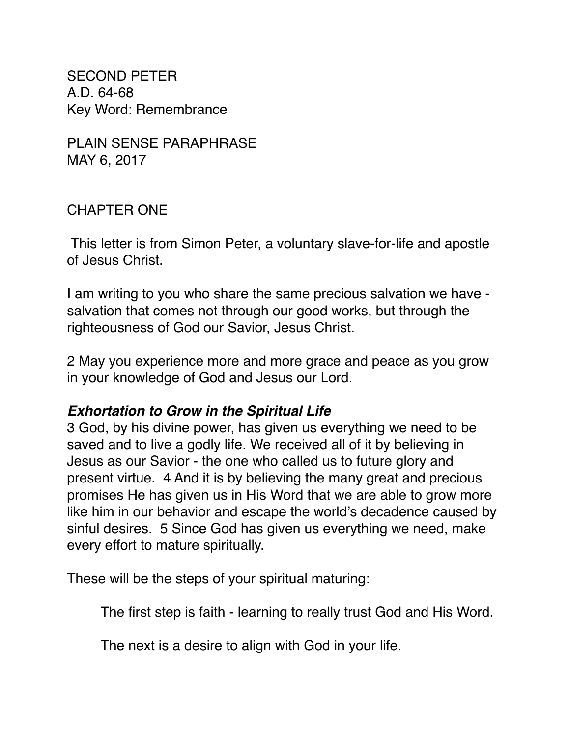SECOND PETER A.D. 64-68 Key Word: Remembrance

PLAIN SENSE PARAPHRASE MAY 6, 2017

### CHAPTER ONE

 This letter is from Simon Peter, a voluntary slave-for-life and apostle of Jesus Christ.

I am writing to you who share the same precious salvation we have salvation that comes not through our good works, but through the righteousness of God our Savior, Jesus Christ.

2 May you experience more and more grace and peace as you grow in your knowledge of God and Jesus our Lord.

#### *Exhortation to Grow in the Spiritual Life*

3 God, by his divine power, has given us everything we need to be saved and to live a godly life. We received all of it by believing in Jesus as our Savior - the one who called us to future glory and present virtue. 4 And it is by believing the many great and precious promises He has given us in His Word that we are able to grow more like him in our behavior and escape the world's decadence caused by sinful desires. 5 Since God has given us everything we need, make every effort to mature spiritually.

These will be the steps of your spiritual maturing:

The first step is faith - learning to really trust God and His Word.

The next is a desire to align with God in your life.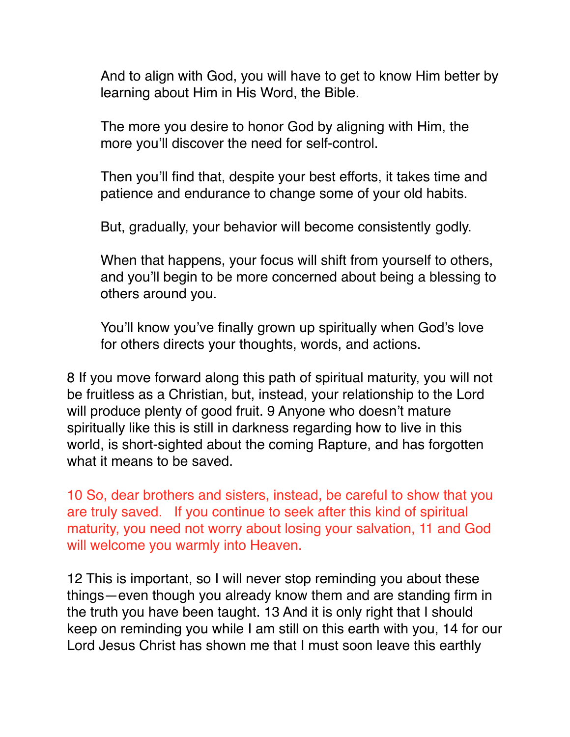And to align with God, you will have to get to know Him better by learning about Him in His Word, the Bible.

The more you desire to honor God by aligning with Him, the more you'll discover the need for self-control.

Then you'll find that, despite your best efforts, it takes time and patience and endurance to change some of your old habits.

But, gradually, your behavior will become consistently godly.

When that happens, your focus will shift from yourself to others, and you'll begin to be more concerned about being a blessing to others around you.

You'll know you've finally grown up spiritually when God's love for others directs your thoughts, words, and actions.

8 If you move forward along this path of spiritual maturity, you will not be fruitless as a Christian, but, instead, your relationship to the Lord will produce plenty of good fruit. 9 Anyone who doesn't mature spiritually like this is still in darkness regarding how to live in this world, is short-sighted about the coming Rapture, and has forgotten what it means to be saved.

10 So, dear brothers and sisters, instead, be careful to show that you are truly saved. If you continue to seek after this kind of spiritual maturity, you need not worry about losing your salvation, 11 and God will welcome you warmly into Heaven.

12 This is important, so I will never stop reminding you about these things—even though you already know them and are standing firm in the truth you have been taught. 13 And it is only right that I should keep on reminding you while I am still on this earth with you, 14 for our Lord Jesus Christ has shown me that I must soon leave this earthly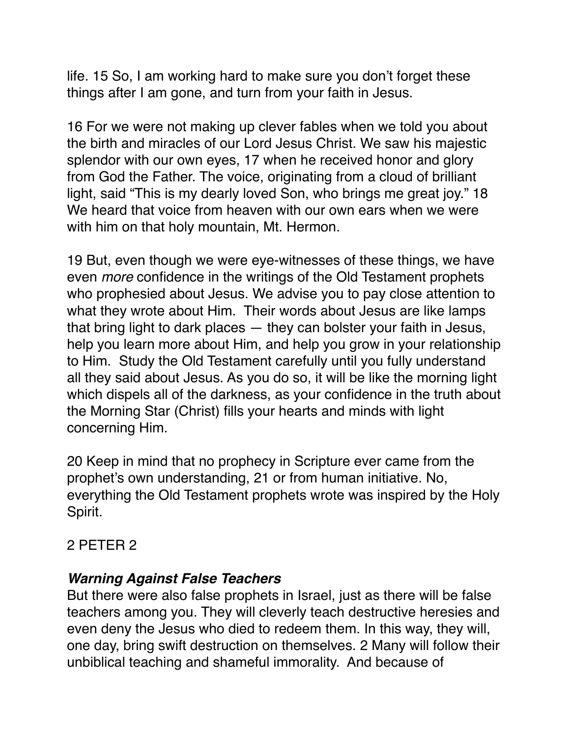life. 15 So, I am working hard to make sure you don't forget these things after I am gone, and turn from your faith in Jesus.

16 For we were not making up clever fables when we told you about the birth and miracles of our Lord Jesus Christ. We saw his majestic splendor with our own eyes, 17 when he received honor and glory from God the Father. The voice, originating from a cloud of brilliant light, said "This is my dearly loved Son, who brings me great joy." 18 We heard that voice from heaven with our own ears when we were with him on that holy mountain, Mt. Hermon.

19 But, even though we were eye-witnesses of these things, we have even *more* confidence in the writings of the Old Testament prophets who prophesied about Jesus. We advise you to pay close attention to what they wrote about Him. Their words about Jesus are like lamps that bring light to dark places — they can bolster your faith in Jesus, help you learn more about Him, and help you grow in your relationship to Him. Study the Old Testament carefully until you fully understand all they said about Jesus. As you do so, it will be like the morning light which dispels all of the darkness, as your confidence in the truth about the Morning Star (Christ) fills your hearts and minds with light concerning Him.

20 Keep in mind that no prophecy in Scripture ever came from the prophet's own understanding, 21 or from human initiative. No, everything the Old Testament prophets wrote was inspired by the Holy Spirit.

### 2 PETER 2

### *Warning Against False Teachers*

But there were also false prophets in Israel, just as there will be false teachers among you. They will cleverly teach destructive heresies and even deny the Jesus who died to redeem them. In this way, they will, one day, bring swift destruction on themselves. 2 Many will follow their unbiblical teaching and shameful immorality. And because of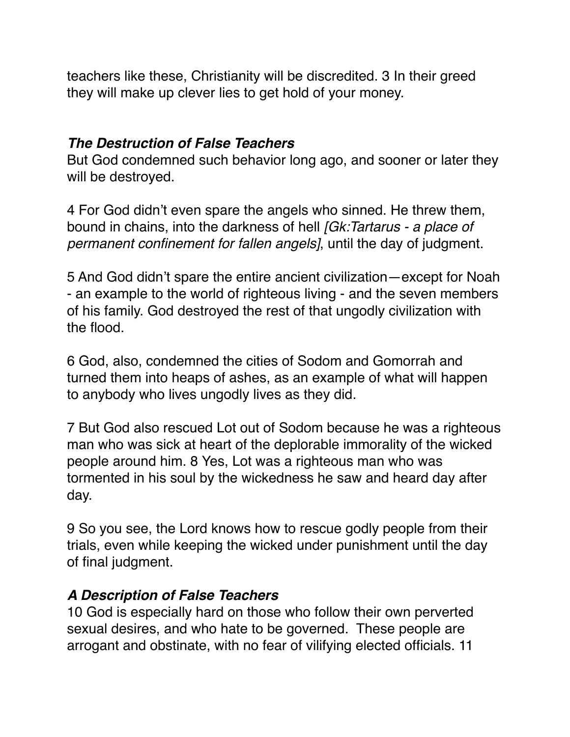teachers like these, Christianity will be discredited. 3 In their greed they will make up clever lies to get hold of your money.

#### *The Destruction of False Teachers*

But God condemned such behavior long ago, and sooner or later they will be destroyed.

4 For God didn't even spare the angels who sinned. He threw them, bound in chains, into the darkness of hell *[Gk:Tartarus - a place of permanent confinement for fallen angels]*, until the day of judgment.

5 And God didn't spare the entire ancient civilization—except for Noah - an example to the world of righteous living - and the seven members of his family. God destroyed the rest of that ungodly civilization with the flood.

6 God, also, condemned the cities of Sodom and Gomorrah and turned them into heaps of ashes, as an example of what will happen to anybody who lives ungodly lives as they did.

7 But God also rescued Lot out of Sodom because he was a righteous man who was sick at heart of the deplorable immorality of the wicked people around him. 8 Yes, Lot was a righteous man who was tormented in his soul by the wickedness he saw and heard day after day.

9 So you see, the Lord knows how to rescue godly people from their trials, even while keeping the wicked under punishment until the day of final judgment.

### *A Description of False Teachers*

10 God is especially hard on those who follow their own perverted sexual desires, and who hate to be governed. These people are arrogant and obstinate, with no fear of vilifying elected officials. 11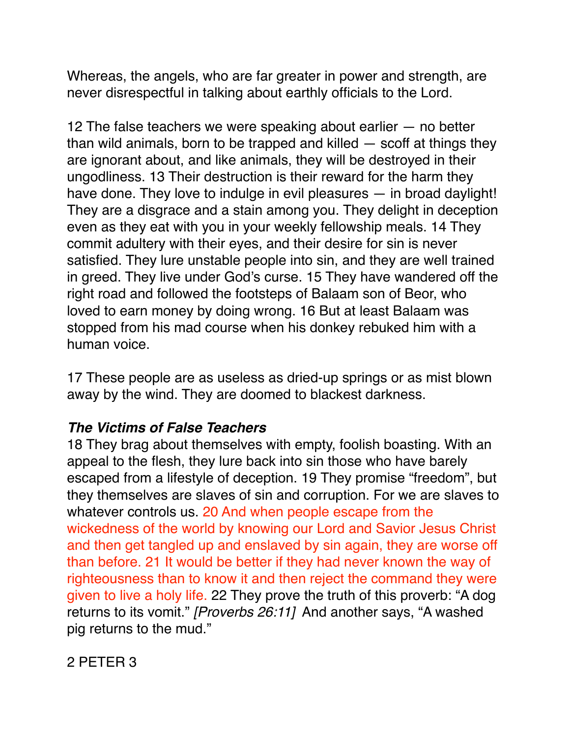Whereas, the angels, who are far greater in power and strength, are never disrespectful in talking about earthly officials to the Lord.

12 The false teachers we were speaking about earlier — no better than wild animals, born to be trapped and killed  $-$  scoff at things they are ignorant about, and like animals, they will be destroyed in their ungodliness. 13 Their destruction is their reward for the harm they have done. They love to indulge in evil pleasures — in broad daylight! They are a disgrace and a stain among you. They delight in deception even as they eat with you in your weekly fellowship meals. 14 They commit adultery with their eyes, and their desire for sin is never satisfied. They lure unstable people into sin, and they are well trained in greed. They live under God's curse. 15 They have wandered off the right road and followed the footsteps of Balaam son of Beor, who loved to earn money by doing wrong. 16 But at least Balaam was stopped from his mad course when his donkey rebuked him with a human voice.

17 These people are as useless as dried-up springs or as mist blown away by the wind. They are doomed to blackest darkness.

# *The Victims of False Teachers*

18 They brag about themselves with empty, foolish boasting. With an appeal to the flesh, they lure back into sin those who have barely escaped from a lifestyle of deception. 19 They promise "freedom", but they themselves are slaves of sin and corruption. For we are slaves to whatever controls us. 20 And when people escape from the wickedness of the world by knowing our Lord and Savior Jesus Christ and then get tangled up and enslaved by sin again, they are worse off than before. 21 It would be better if they had never known the way of righteousness than to know it and then reject the command they were given to live a holy life. 22 They prove the truth of this proverb: "A dog returns to its vomit." *[Proverbs 26:11]* And another says, "A washed pig returns to the mud."

# 2 PETER 3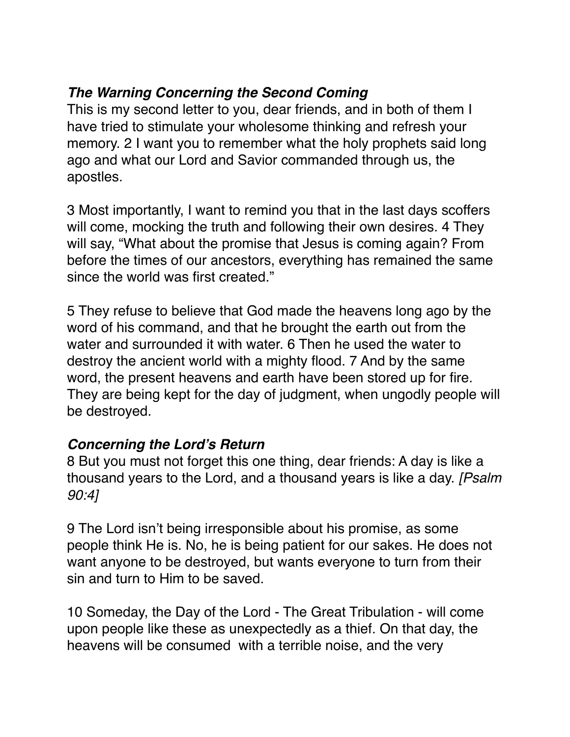# *The Warning Concerning the Second Coming*

This is my second letter to you, dear friends, and in both of them I have tried to stimulate your wholesome thinking and refresh your memory. 2 I want you to remember what the holy prophets said long ago and what our Lord and Savior commanded through us, the apostles.

3 Most importantly, I want to remind you that in the last days scoffers will come, mocking the truth and following their own desires. 4 They will say, "What about the promise that Jesus is coming again? From before the times of our ancestors, everything has remained the same since the world was first created."

5 They refuse to believe that God made the heavens long ago by the word of his command, and that he brought the earth out from the water and surrounded it with water. 6 Then he used the water to destroy the ancient world with a mighty flood. 7 And by the same word, the present heavens and earth have been stored up for fire. They are being kept for the day of judgment, when ungodly people will be destroyed.

# *Concerning the Lord's Return*

8 But you must not forget this one thing, dear friends: A day is like a thousand years to the Lord, and a thousand years is like a day. *[Psalm 90:4]*

9 The Lord isn't being irresponsible about his promise, as some people think He is. No, he is being patient for our sakes. He does not want anyone to be destroyed, but wants everyone to turn from their sin and turn to Him to be saved.

10 Someday, the Day of the Lord - The Great Tribulation - will come upon people like these as unexpectedly as a thief. On that day, the heavens will be consumed with a terrible noise, and the very